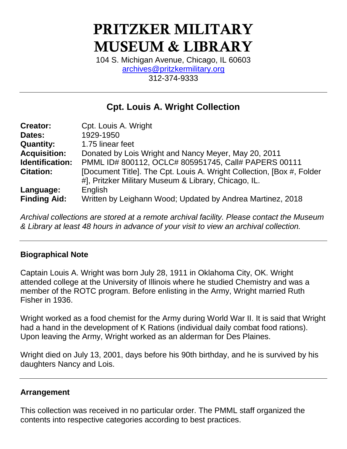# PRITZKER MILITARY MUSEUM & LIBRARY

104 S. Michigan Avenue, Chicago, IL 60603 [archives@pritzkermilitary.org](mailto:archives@pritzkermilitary.org) 312-374-9333

# **Cpt. Louis A. Wright Collection**

| <b>Creator:</b>     | Cpt. Louis A. Wright                                                   |
|---------------------|------------------------------------------------------------------------|
| Dates:              | 1929-1950                                                              |
| <b>Quantity:</b>    | 1.75 linear feet                                                       |
| <b>Acquisition:</b> | Donated by Lois Wright and Nancy Meyer, May 20, 2011                   |
| Identification:     | PMML ID# 800112, OCLC# 805951745, Call# PAPERS 00111                   |
| <b>Citation:</b>    | [Document Title]. The Cpt. Louis A. Wright Collection, [Box #, Folder] |
|                     | #], Pritzker Military Museum & Library, Chicago, IL.                   |
| Language:           | English                                                                |
| <b>Finding Aid:</b> | Written by Leighann Wood; Updated by Andrea Martinez, 2018             |

*Archival collections are stored at a remote archival facility. Please contact the Museum & Library at least 48 hours in advance of your visit to view an archival collection.*

#### **Biographical Note**

Captain Louis A. Wright was born July 28, 1911 in Oklahoma City, OK. Wright attended college at the University of Illinois where he studied Chemistry and was a member of the ROTC program. Before enlisting in the Army, Wright married Ruth Fisher in 1936.

Wright worked as a food chemist for the Army during World War II. It is said that Wright had a hand in the development of K Rations (individual daily combat food rations). Upon leaving the Army, Wright worked as an alderman for Des Plaines.

Wright died on July 13, 2001, days before his 90th birthday, and he is survived by his daughters Nancy and Lois.

#### **Arrangement**

This collection was received in no particular order. The PMML staff organized the contents into respective categories according to best practices.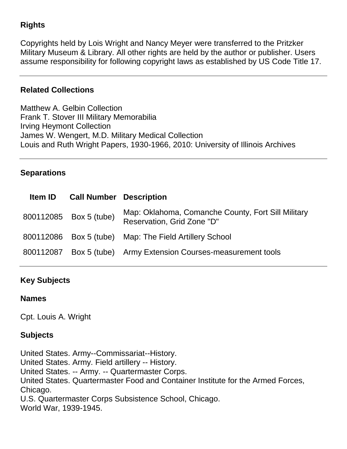### **Rights**

Copyrights held by Lois Wright and Nancy Meyer were transferred to the Pritzker Military Museum & Library. All other rights are held by the author or publisher. Users assume responsibility for following copyright laws as established by US Code Title 17.

#### **Related Collections**

Matthew A. Gelbin Collection Frank T. Stover III Military Memorabilia Irving Heymont Collection James W. Wengert, M.D. Military Medical Collection Louis and Ruth Wright Papers, 1930-1966, 2010: University of Illinois Archives

#### **Separations**

|           | <b>Item ID Call Number Description</b> |                                                                                  |
|-----------|----------------------------------------|----------------------------------------------------------------------------------|
|           | 800112085 Box 5 (tube)                 | Map: Oklahoma, Comanche County, Fort Sill Military<br>Reservation, Grid Zone "D" |
|           |                                        | 800112086 Box 5 (tube) Map: The Field Artillery School                           |
| 800112087 |                                        | Box 5 (tube) Army Extension Courses-measurement tools                            |

#### **Key Subjects**

#### **Names**

Cpt. Louis A. Wright

#### **Subjects**

United States. Army--Commissariat--History. United States. Army. Field artillery -- History. United States. -- Army. -- Quartermaster Corps. United States. Quartermaster Food and Container Institute for the Armed Forces, Chicago. U.S. Quartermaster Corps Subsistence School, Chicago. [World War, 1939-1945.](http://prml.ent.sirsi.net/client/search/results.displaypanel.displaycell.detail.mainpanel.osrfielddisplay.newsearch/default/q$003dWorld$002bWar$00252C$002b1939-1945.$0026rw$003d0$0026ln$003den_US$0026pv$003d-1$0026ic$003dfalse$0026dt$003dlist$0026sm$003dfalse$0026)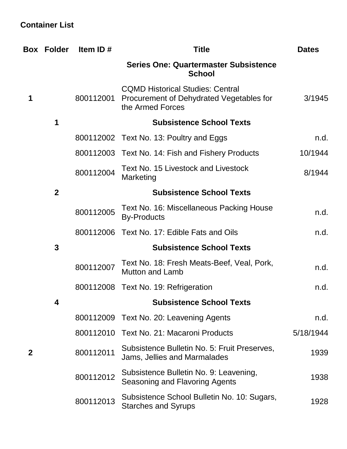## **Container List**

|             | <b>Box Folder</b> | Item ID#  | <b>Title</b>                                                                                            | <b>Dates</b> |
|-------------|-------------------|-----------|---------------------------------------------------------------------------------------------------------|--------------|
|             |                   |           | <b>Series One: Quartermaster Subsistence</b><br><b>School</b>                                           |              |
| 1           |                   | 800112001 | <b>CQMD Historical Studies: Central</b><br>Procurement of Dehydrated Vegetables for<br>the Armed Forces | 3/1945       |
|             | 1                 |           | <b>Subsistence School Texts</b>                                                                         |              |
|             |                   |           | 800112002 Text No. 13: Poultry and Eggs                                                                 | n.d.         |
|             |                   |           | 800112003 Text No. 14: Fish and Fishery Products                                                        | 10/1944      |
|             |                   | 800112004 | <b>Text No. 15 Livestock and Livestock</b><br>Marketing                                                 | 8/1944       |
|             | $\overline{2}$    |           | <b>Subsistence School Texts</b>                                                                         |              |
|             |                   | 800112005 | Text No. 16: Miscellaneous Packing House<br><b>By-Products</b>                                          | n.d.         |
|             |                   |           | 800112006 Text No. 17: Edible Fats and Oils                                                             | n.d.         |
|             | 3                 |           | <b>Subsistence School Texts</b>                                                                         |              |
|             |                   | 800112007 | Text No. 18: Fresh Meats-Beef, Veal, Pork,<br><b>Mutton and Lamb</b>                                    | n.d.         |
|             |                   |           | 800112008 Text No. 19: Refrigeration                                                                    | n.d.         |
|             | 4                 |           | <b>Subsistence School Texts</b>                                                                         |              |
|             |                   |           | 800112009 Text No. 20: Leavening Agents                                                                 | n.d.         |
|             |                   | 800112010 | Text No. 21: Macaroni Products                                                                          | 5/18/1944    |
| $\mathbf 2$ |                   | 800112011 | Subsistence Bulletin No. 5: Fruit Preserves,<br>Jams, Jellies and Marmalades                            | 1939         |
|             |                   | 800112012 | Subsistence Bulletin No. 9: Leavening,<br>Seasoning and Flavoring Agents                                | 1938         |
|             |                   | 800112013 | Subsistence School Bulletin No. 10: Sugars,<br><b>Starches and Syrups</b>                               | 1928         |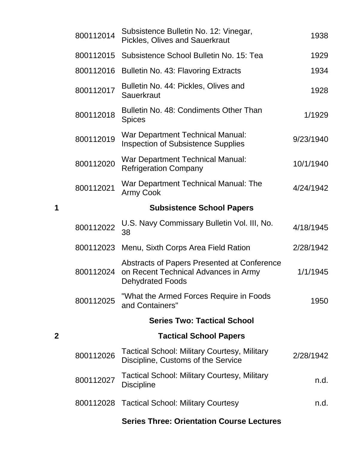|   | 800112014 | Subsistence Bulletin No. 12: Vinegar,<br><b>Pickles, Olives and Sauerkraut</b>                                 | 1938      |
|---|-----------|----------------------------------------------------------------------------------------------------------------|-----------|
|   | 800112015 | Subsistence School Bulletin No. 15: Tea                                                                        | 1929      |
|   | 800112016 | Bulletin No. 43: Flavoring Extracts                                                                            | 1934      |
|   | 800112017 | Bulletin No. 44: Pickles, Olives and<br><b>Sauerkraut</b>                                                      | 1928      |
|   | 800112018 | Bulletin No. 48: Condiments Other Than<br><b>Spices</b>                                                        | 1/1929    |
|   | 800112019 | War Department Technical Manual:<br><b>Inspection of Subsistence Supplies</b>                                  | 9/23/1940 |
|   | 800112020 | War Department Technical Manual:<br><b>Refrigeration Company</b>                                               | 10/1/1940 |
|   | 800112021 | War Department Technical Manual: The<br><b>Army Cook</b>                                                       | 4/24/1942 |
| 1 |           | <b>Subsistence School Papers</b>                                                                               |           |
|   | 800112022 | U.S. Navy Commissary Bulletin Vol. III, No.<br>38                                                              | 4/18/1945 |
|   |           | 800112023 Menu, Sixth Corps Area Field Ration                                                                  | 2/28/1942 |
|   | 800112024 | Abstracts of Papers Presented at Conference<br>on Recent Technical Advances in Army<br><b>Dehydrated Foods</b> | 1/1/1945  |
|   | 800112025 | "What the Armed Forces Require in Foods<br>and Containers"                                                     | 1950      |
|   |           | <b>Series Two: Tactical School</b>                                                                             |           |
| 2 |           | <b>Tactical School Papers</b>                                                                                  |           |
|   | 800112026 | <b>Tactical School: Military Courtesy, Military</b><br>Discipline, Customs of the Service                      | 2/28/1942 |
|   | 800112027 | Tactical School: Military Courtesy, Military<br><b>Discipline</b>                                              | n.d.      |
|   |           | 800112028 Tactical School: Military Courtesy                                                                   | n.d.      |
|   |           | <b>Series Three: Orientation Course Lectures</b>                                                               |           |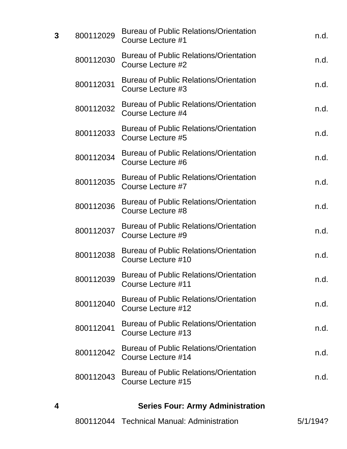| 3 | 800112029 | <b>Bureau of Public Relations/Orientation</b><br>Course Lecture #1        | n.d. |
|---|-----------|---------------------------------------------------------------------------|------|
|   | 800112030 | <b>Bureau of Public Relations/Orientation</b><br>Course Lecture #2        | n.d. |
|   | 800112031 | <b>Bureau of Public Relations/Orientation</b><br><b>Course Lecture #3</b> | n.d. |
|   | 800112032 | <b>Bureau of Public Relations/Orientation</b><br>Course Lecture #4        | n.d. |
|   | 800112033 | <b>Bureau of Public Relations/Orientation</b><br>Course Lecture #5        | n.d. |
|   | 800112034 | <b>Bureau of Public Relations/Orientation</b><br>Course Lecture #6        | n.d. |
|   | 800112035 | <b>Bureau of Public Relations/Orientation</b><br>Course Lecture #7        | n.d. |
|   | 800112036 | <b>Bureau of Public Relations/Orientation</b><br>Course Lecture #8        | n.d. |
|   | 800112037 | <b>Bureau of Public Relations/Orientation</b><br>Course Lecture #9        | n.d. |
|   | 800112038 | <b>Bureau of Public Relations/Orientation</b><br>Course Lecture #10       | n.d. |
|   | 800112039 | <b>Bureau of Public Relations/Orientation</b><br>Course Lecture #11       | n.d. |
|   | 800112040 | <b>Bureau of Public Relations/Orientation</b><br>Course Lecture #12       | n.d. |
|   | 800112041 | <b>Bureau of Public Relations/Orientation</b><br>Course Lecture #13       | n.d. |
|   | 800112042 | <b>Bureau of Public Relations/Orientation</b><br>Course Lecture #14       | n.d. |
|   | 800112043 | <b>Bureau of Public Relations/Orientation</b><br>Course Lecture #15       | n.d. |
|   |           |                                                                           |      |

# **4 Series Four: Army Administration**

|  | 800112044 Technical Manual: Administration | 5/1/194? |
|--|--------------------------------------------|----------|
|--|--------------------------------------------|----------|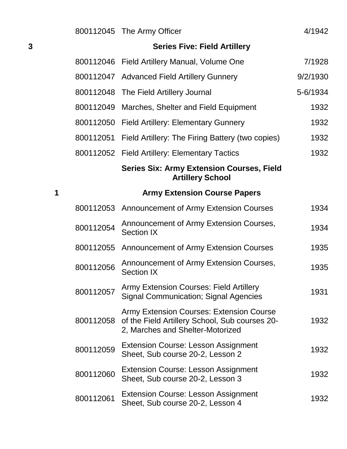|   |           | 800112045 The Army Officer                                                                                                            | 4/1942   |
|---|-----------|---------------------------------------------------------------------------------------------------------------------------------------|----------|
| 3 |           | <b>Series Five: Field Artillery</b>                                                                                                   |          |
|   |           | 800112046 Field Artillery Manual, Volume One                                                                                          | 7/1928   |
|   |           | 800112047 Advanced Field Artillery Gunnery                                                                                            | 9/2/1930 |
|   | 800112048 | The Field Artillery Journal                                                                                                           | 5-6/1934 |
|   | 800112049 | Marches, Shelter and Field Equipment                                                                                                  | 1932     |
|   |           | 800112050 Field Artillery: Elementary Gunnery                                                                                         | 1932     |
|   | 800112051 | Field Artillery: The Firing Battery (two copies)                                                                                      | 1932     |
|   |           | 800112052 Field Artillery: Elementary Tactics                                                                                         | 1932     |
|   |           | <b>Series Six: Army Extension Courses, Field</b><br><b>Artillery School</b>                                                           |          |
| 1 |           | <b>Army Extension Course Papers</b>                                                                                                   |          |
|   |           | 800112053 Announcement of Army Extension Courses                                                                                      | 1934     |
|   | 800112054 | Announcement of Army Extension Courses,<br><b>Section IX</b>                                                                          | 1934     |
|   | 800112055 | Announcement of Army Extension Courses                                                                                                | 1935     |
|   | 800112056 | Announcement of Army Extension Courses,<br><b>Section IX</b>                                                                          | 1935     |
|   | 800112057 | <b>Army Extension Courses: Field Artillery</b><br><b>Signal Communication; Signal Agencies</b>                                        | 1931     |
|   | 800112058 | <b>Army Extension Courses: Extension Course</b><br>of the Field Artillery School, Sub courses 20-<br>2, Marches and Shelter-Motorized | 1932     |
|   | 800112059 | <b>Extension Course: Lesson Assignment</b><br>Sheet, Sub course 20-2, Lesson 2                                                        | 1932     |
|   | 800112060 | <b>Extension Course: Lesson Assignment</b><br>Sheet, Sub course 20-2, Lesson 3                                                        | 1932     |
|   | 800112061 | <b>Extension Course: Lesson Assignment</b><br>Sheet, Sub course 20-2, Lesson 4                                                        | 1932     |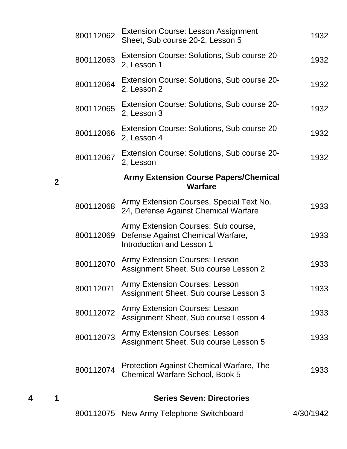| 800112062 | <b>Extension Course: Lesson Assignment</b><br>Sheet, Sub course 20-2, Lesson 5                        | 1932      |
|-----------|-------------------------------------------------------------------------------------------------------|-----------|
| 800112063 | Extension Course: Solutions, Sub course 20-<br>2, Lesson 1                                            | 1932      |
| 800112064 | Extension Course: Solutions, Sub course 20-<br>2, Lesson 2                                            | 1932      |
| 800112065 | Extension Course: Solutions, Sub course 20-<br>2, Lesson 3                                            | 1932      |
| 800112066 | Extension Course: Solutions, Sub course 20-<br>2, Lesson 4                                            | 1932      |
| 800112067 | Extension Course: Solutions, Sub course 20-<br>2, Lesson                                              | 1932      |
|           | <b>Army Extension Course Papers/Chemical</b><br><b>Warfare</b>                                        |           |
| 800112068 | Army Extension Courses, Special Text No.<br>24, Defense Against Chemical Warfare                      | 1933      |
| 800112069 | Army Extension Courses: Sub course,<br>Defense Against Chemical Warfare,<br>Introduction and Lesson 1 | 1933      |
| 800112070 | <b>Army Extension Courses: Lesson</b><br>Assignment Sheet, Sub course Lesson 2                        | 1933      |
| 800112071 | <b>Army Extension Courses: Lesson</b><br>Assignment Sheet, Sub course Lesson 3                        | 1933      |
| 800112072 | <b>Army Extension Courses: Lesson</b><br>Assignment Sheet, Sub course Lesson 4                        | 1933      |
| 800112073 | <b>Army Extension Courses: Lesson</b><br>Assignment Sheet, Sub course Lesson 5                        | 1933      |
| 800112074 | Protection Against Chemical Warfare, The<br><b>Chemical Warfare School, Book 5</b>                    | 1933      |
|           | <b>Series Seven: Directories</b>                                                                      |           |
| 800112075 | New Army Telephone Switchboard                                                                        | 4/30/1942 |

**2**

**4 1 Series Seven: Directories**